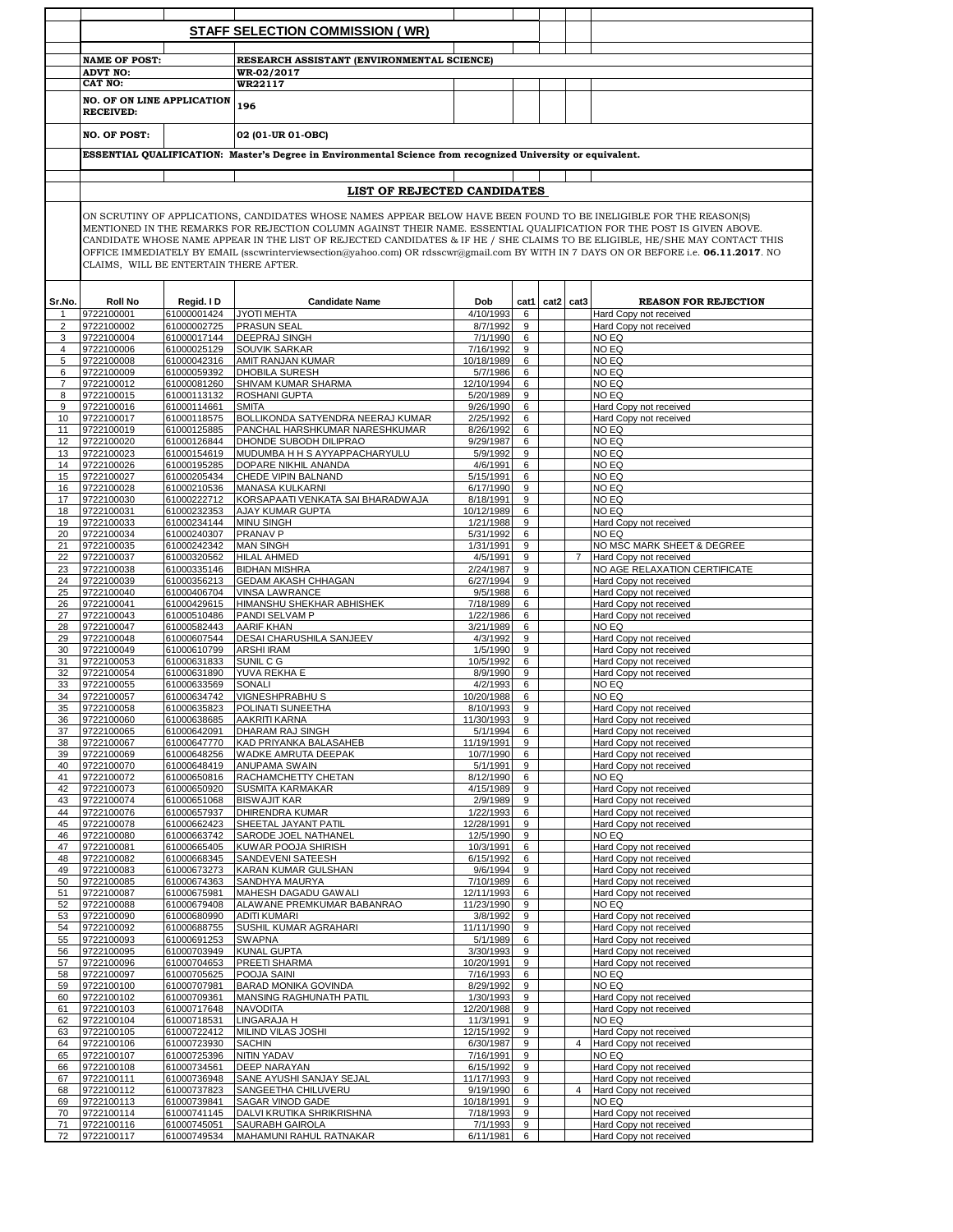|          |                                                                                                                                                                                                                                                                                                                                                                                                                                                                                                                                                                 |                            | <b>STAFF SELECTION COMMISSION (WR)</b>                              |                         |           |      |                |                                                         |  |  |  |  |  |
|----------|-----------------------------------------------------------------------------------------------------------------------------------------------------------------------------------------------------------------------------------------------------------------------------------------------------------------------------------------------------------------------------------------------------------------------------------------------------------------------------------------------------------------------------------------------------------------|----------------------------|---------------------------------------------------------------------|-------------------------|-----------|------|----------------|---------------------------------------------------------|--|--|--|--|--|
|          |                                                                                                                                                                                                                                                                                                                                                                                                                                                                                                                                                                 |                            |                                                                     |                         |           |      |                |                                                         |  |  |  |  |  |
|          | <b>NAME OF POST:</b>                                                                                                                                                                                                                                                                                                                                                                                                                                                                                                                                            |                            | RESEARCH ASSISTANT (ENVIRONMENTAL SCIENCE)                          |                         |           |      |                |                                                         |  |  |  |  |  |
|          | <b>ADVT NO:</b><br>WR-02/2017                                                                                                                                                                                                                                                                                                                                                                                                                                                                                                                                   |                            |                                                                     |                         |           |      |                |                                                         |  |  |  |  |  |
|          | <b>CAT NO:</b><br>WR22117                                                                                                                                                                                                                                                                                                                                                                                                                                                                                                                                       |                            |                                                                     |                         |           |      |                |                                                         |  |  |  |  |  |
|          | <b>NO. OF ON LINE APPLICATION</b>                                                                                                                                                                                                                                                                                                                                                                                                                                                                                                                               |                            | 196                                                                 |                         |           |      |                |                                                         |  |  |  |  |  |
|          | <b>RECEIVED:</b>                                                                                                                                                                                                                                                                                                                                                                                                                                                                                                                                                |                            |                                                                     |                         |           |      |                |                                                         |  |  |  |  |  |
|          | <b>NO. OF POST:</b>                                                                                                                                                                                                                                                                                                                                                                                                                                                                                                                                             |                            | 02 (01-UR 01-OBC)                                                   |                         |           |      |                |                                                         |  |  |  |  |  |
|          | ESSENTIAL QUALIFICATION: Master's Degree in Environmental Science from recognized University or equivalent.                                                                                                                                                                                                                                                                                                                                                                                                                                                     |                            |                                                                     |                         |           |      |                |                                                         |  |  |  |  |  |
|          |                                                                                                                                                                                                                                                                                                                                                                                                                                                                                                                                                                 |                            |                                                                     |                         |           |      |                |                                                         |  |  |  |  |  |
|          | LIST OF REJECTED CANDIDATES                                                                                                                                                                                                                                                                                                                                                                                                                                                                                                                                     |                            |                                                                     |                         |           |      |                |                                                         |  |  |  |  |  |
|          |                                                                                                                                                                                                                                                                                                                                                                                                                                                                                                                                                                 |                            |                                                                     |                         |           |      |                |                                                         |  |  |  |  |  |
|          | ON SCRUTINY OF APPLICATIONS, CANDIDATES WHOSE NAMES APPEAR BELOW HAVE BEEN FOUND TO BE INELIGIBLE FOR THE REASON(S)<br>MENTIONED IN THE REMARKS FOR REJECTION COLUMN AGAINST THEIR NAME. ESSENTIAL QUALIFICATION FOR THE POST IS GIVEN ABOVE.<br>CANDIDATE WHOSE NAME APPEAR IN THE LIST OF REJECTED CANDIDATES & IF HE / SHE CLAIMS TO BE ELIGIBLE, HE/SHE MAY CONTACT THIS<br>OFFICE IMMEDIATELY BY EMAIL (sscwrinterviewsection@yahoo.com) OR rdsscwr@gmail.com BY WITH IN 7 DAYS ON OR BEFORE i.e. 06.11.2017. NO<br>CLAIMS, WILL BE ENTERTAIN THERE AFTER. |                            |                                                                     |                         |           |      |                |                                                         |  |  |  |  |  |
|          |                                                                                                                                                                                                                                                                                                                                                                                                                                                                                                                                                                 |                            |                                                                     |                         |           |      |                |                                                         |  |  |  |  |  |
| Sr.No.   | <b>Roll No</b><br>9722100001                                                                                                                                                                                                                                                                                                                                                                                                                                                                                                                                    | Regid. I D<br>61000001424  | <b>Candidate Name</b><br><b>JYOTI MEHTA</b>                         | Dob<br>4/10/1993        | cat1<br>6 | cat2 | cat3           | <b>REASON FOR REJECTION</b><br>Hard Copy not received   |  |  |  |  |  |
| 2        | 9722100002                                                                                                                                                                                                                                                                                                                                                                                                                                                                                                                                                      | 61000002725                | <b>PRASUN SEAL</b>                                                  | 8/7/1992                | 9         |      |                | Hard Copy not received                                  |  |  |  |  |  |
| 3        | 9722100004                                                                                                                                                                                                                                                                                                                                                                                                                                                                                                                                                      | 61000017144                | <b>DEEPRAJ SINGH</b>                                                | 7/1/1990                | 6         |      |                | NO EQ                                                   |  |  |  |  |  |
| 4        | 9722100006                                                                                                                                                                                                                                                                                                                                                                                                                                                                                                                                                      | 61000025129                | <b>SOUVIK SARKAR</b>                                                | 7/16/1992               | 9         |      |                | NO EQ                                                   |  |  |  |  |  |
| 5<br>6   | 9722100008<br>9722100009                                                                                                                                                                                                                                                                                                                                                                                                                                                                                                                                        | 61000042316<br>61000059392 | AMIT RANJAN KUMAR<br><b>DHOBILA SURESH</b>                          | 10/18/1989<br>5/7/1986  | 6<br>6    |      |                | NO EQ<br>NO EQ                                          |  |  |  |  |  |
| 7        | 9722100012                                                                                                                                                                                                                                                                                                                                                                                                                                                                                                                                                      | 61000081260                | SHIVAM KUMAR SHARMA                                                 | 12/10/1994              | 6         |      |                | NO EQ                                                   |  |  |  |  |  |
| 8        | 9722100015                                                                                                                                                                                                                                                                                                                                                                                                                                                                                                                                                      | 61000113132                | <b>ROSHANI GUPTA</b>                                                | 5/20/1989               | 9         |      |                | NO EQ                                                   |  |  |  |  |  |
| 9        | 9722100016                                                                                                                                                                                                                                                                                                                                                                                                                                                                                                                                                      | 61000114661                | <b>SMITA</b>                                                        | 9/26/1990               | 6         |      |                | Hard Copy not received                                  |  |  |  |  |  |
| 10       | 9722100017<br>9722100019                                                                                                                                                                                                                                                                                                                                                                                                                                                                                                                                        | 61000118575<br>61000125885 | BOLLIKONDA SATYENDRA NEERAJ KUMAR<br>PANCHAL HARSHKUMAR NARESHKUMAR | 2/25/1992<br>8/26/1992  | 6<br>6    |      |                | Hard Copy not received                                  |  |  |  |  |  |
| 11<br>12 | 9722100020                                                                                                                                                                                                                                                                                                                                                                                                                                                                                                                                                      | 61000126844                | DHONDE SUBODH DILIPRAO                                              | 9/29/1987               | 6         |      |                | NO EQ<br>NO EQ                                          |  |  |  |  |  |
| 13       | 9722100023                                                                                                                                                                                                                                                                                                                                                                                                                                                                                                                                                      | 61000154619                | MUDUMBA H H S AYYAPPACHARYULU                                       | 5/9/1992                | 9         |      |                | NO EQ                                                   |  |  |  |  |  |
| 14       | 9722100026                                                                                                                                                                                                                                                                                                                                                                                                                                                                                                                                                      | 61000195285                | DOPARE NIKHIL ANANDA                                                | 4/6/1991                | 6         |      |                | NO EQ                                                   |  |  |  |  |  |
| 15       | 9722100027                                                                                                                                                                                                                                                                                                                                                                                                                                                                                                                                                      | 61000205434                | CHEDE VIPIN BALNAND                                                 | 5/15/1991               | 6         |      |                | NO EQ                                                   |  |  |  |  |  |
| 16<br>17 | 9722100028<br>9722100030                                                                                                                                                                                                                                                                                                                                                                                                                                                                                                                                        | 61000210536<br>61000222712 | <b>MANASA KULKARNI</b><br>KORSAPAATI VENKATA SAI BHARADWAJA         | 6/17/1990<br>8/18/1991  | 9<br>9    |      |                | NO EQ<br>NO EQ                                          |  |  |  |  |  |
| 18       | 9722100031                                                                                                                                                                                                                                                                                                                                                                                                                                                                                                                                                      | 61000232353                | AJAY KUMAR GUPTA                                                    | 10/12/1989              | 6         |      |                | NO EQ                                                   |  |  |  |  |  |
| 19       | 9722100033                                                                                                                                                                                                                                                                                                                                                                                                                                                                                                                                                      | 61000234144                | <b>MINU SINGH</b>                                                   | 1/21/1988               | 9         |      |                | Hard Copy not received                                  |  |  |  |  |  |
| 20       | 9722100034                                                                                                                                                                                                                                                                                                                                                                                                                                                                                                                                                      | 61000240307                | <b>PRANAV P</b>                                                     | 5/31/1992               | 6         |      |                | NO EQ                                                   |  |  |  |  |  |
| 21       | 9722100035                                                                                                                                                                                                                                                                                                                                                                                                                                                                                                                                                      | 61000242342                | <b>MAN SINGH</b>                                                    | 1/31/1991               | 9         |      |                | NO MSC MARK SHEET & DEGREE                              |  |  |  |  |  |
| 22<br>23 | 9722100037<br>9722100038                                                                                                                                                                                                                                                                                                                                                                                                                                                                                                                                        | 61000320562<br>61000335146 | <b>HILAL AHMED</b><br><b>BIDHAN MISHRA</b>                          | 4/5/1991<br>2/24/1987   | 9<br>9    |      | $\overline{7}$ | Hard Copy not received<br>NO AGE RELAXATION CERTIFICATE |  |  |  |  |  |
| 24       | 9722100039                                                                                                                                                                                                                                                                                                                                                                                                                                                                                                                                                      | 61000356213                | <b>GEDAM AKASH CHHAGAN</b>                                          | 6/27/1994               | 9         |      |                | Hard Copy not received                                  |  |  |  |  |  |
| 25       | 9722100040                                                                                                                                                                                                                                                                                                                                                                                                                                                                                                                                                      | 61000406704                | <b>VINSA LAWRANCE</b>                                               | 9/5/1988                | 6         |      |                | Hard Copy not received                                  |  |  |  |  |  |
| 26       | 9722100041                                                                                                                                                                                                                                                                                                                                                                                                                                                                                                                                                      | 61000429615                | HIMANSHU SHEKHAR ABHISHEK                                           | 7/18/1989               | 6         |      |                | Hard Copy not received                                  |  |  |  |  |  |
| 27<br>28 | 9722100043<br>9722100047                                                                                                                                                                                                                                                                                                                                                                                                                                                                                                                                        | 61000510486<br>61000582443 | PANDI SELVAM P<br><b>AARIF KHAN</b>                                 | 1/22/1986<br>3/21/1989  | 6<br>6    |      |                | Hard Copy not received<br>NO EQ                         |  |  |  |  |  |
| 29       | 9722100048                                                                                                                                                                                                                                                                                                                                                                                                                                                                                                                                                      | 61000607544                | DESAI CHARUSHILA SANJEEV                                            | 4/3/1992                | 9         |      |                | Hard Copy not received                                  |  |  |  |  |  |
| 30       | 9722100049                                                                                                                                                                                                                                                                                                                                                                                                                                                                                                                                                      | 61000610799                | <b>ARSHI IRAM</b>                                                   | 1/5/1990                | 9         |      |                | Hard Copy not received                                  |  |  |  |  |  |
| 31       | 9722100053                                                                                                                                                                                                                                                                                                                                                                                                                                                                                                                                                      | 61000631833                | SUNIL C G                                                           | 10/5/1992               | 6         |      |                | Hard Copy not received                                  |  |  |  |  |  |
| 32       | 9722100054                                                                                                                                                                                                                                                                                                                                                                                                                                                                                                                                                      | 61000631890                | YUVA REKHA E                                                        | 8/9/1990                | 9         |      |                | Hard Copy not received                                  |  |  |  |  |  |
| 33<br>34 | 9722100055<br>9722100057                                                                                                                                                                                                                                                                                                                                                                                                                                                                                                                                        | 61000633569<br>61000634742 | <b>SONALI</b><br><b>VIGNESHPRABHUS</b>                              | 4/2/1993<br>10/20/1988  | 6<br>6    |      |                | NO EQ<br>NO EQ                                          |  |  |  |  |  |
| 35       | 9722100058                                                                                                                                                                                                                                                                                                                                                                                                                                                                                                                                                      | 61000635823                | <b>POLINATI SUNEETHA</b>                                            | 8/10/1993 9             |           |      |                | Hard Copy not received                                  |  |  |  |  |  |
| 36       | 9722100060                                                                                                                                                                                                                                                                                                                                                                                                                                                                                                                                                      | 61000638685                | <b>AAKRITI KARNA</b>                                                | 11/30/1993              | 9         |      |                | Hard Copy not received                                  |  |  |  |  |  |
| 37       | 9722100065                                                                                                                                                                                                                                                                                                                                                                                                                                                                                                                                                      | 61000642091                | <b>DHARAM RAJ SINGH</b>                                             | 5/1/1994                | 6         |      |                | Hard Copy not received                                  |  |  |  |  |  |
| 38       | 9722100067                                                                                                                                                                                                                                                                                                                                                                                                                                                                                                                                                      | 61000647770                | KAD PRIYANKA BALASAHEB                                              | 11/19/1991              | 9         |      |                | Hard Copy not received                                  |  |  |  |  |  |
| 39<br>40 | 9722100069<br>9722100070                                                                                                                                                                                                                                                                                                                                                                                                                                                                                                                                        | 61000648256<br>61000648419 | WADKE AMRUTA DEEPAK<br><b>ANUPAMA SWAIN</b>                         | 10/7/1990<br>5/1/1991   | 6<br>9    |      |                | Hard Copy not received<br>Hard Copy not received        |  |  |  |  |  |
| 41       | 9722100072                                                                                                                                                                                                                                                                                                                                                                                                                                                                                                                                                      | 61000650816                | RACHAMCHETTY CHETAN                                                 | 8/12/1990               | 6         |      |                | NO EQ                                                   |  |  |  |  |  |
| 42       | 9722100073                                                                                                                                                                                                                                                                                                                                                                                                                                                                                                                                                      | 61000650920                | <b>SUSMITA KARMAKAR</b>                                             | 4/15/1989               | 9         |      |                | Hard Copy not received                                  |  |  |  |  |  |
| 43       | 9722100074                                                                                                                                                                                                                                                                                                                                                                                                                                                                                                                                                      | 61000651068                | <b>BISWAJIT KAR</b>                                                 | 2/9/1989                | 9         |      |                | Hard Copy not received                                  |  |  |  |  |  |
| 44<br>45 | 9722100076<br>9722100078                                                                                                                                                                                                                                                                                                                                                                                                                                                                                                                                        | 61000657937<br>61000662423 | <b>DHIRENDRA KUMAR</b><br>SHEETAL JAYANT PATIL                      | 1/22/1993<br>12/28/1991 | 6<br>9    |      |                | Hard Copy not received<br>Hard Copy not received        |  |  |  |  |  |
| 46       | 9722100080                                                                                                                                                                                                                                                                                                                                                                                                                                                                                                                                                      | 61000663742                | SARODE JOEL NATHANEL                                                | 12/5/1990               | 9         |      |                | NO EQ                                                   |  |  |  |  |  |
| 47       | 9722100081                                                                                                                                                                                                                                                                                                                                                                                                                                                                                                                                                      | 61000665405                | KUWAR POOJA SHIRISH                                                 | 10/3/1991               | 6         |      |                | Hard Copy not received                                  |  |  |  |  |  |
| 48       | 9722100082                                                                                                                                                                                                                                                                                                                                                                                                                                                                                                                                                      | 61000668345                | SANDEVENI SATEESH                                                   | 6/15/1992               | 6         |      |                | Hard Copy not received                                  |  |  |  |  |  |
| 49       | 9722100083                                                                                                                                                                                                                                                                                                                                                                                                                                                                                                                                                      | 61000673273                | KARAN KUMAR GULSHAN                                                 | 9/6/1994                | 9<br>6    |      |                | Hard Copy not received                                  |  |  |  |  |  |
| 50<br>51 | 9722100085<br>9722100087                                                                                                                                                                                                                                                                                                                                                                                                                                                                                                                                        | 61000674363<br>61000675981 | SANDHYA MAURYA<br>MAHESH DAGADU GAWALI                              | 7/10/1989<br>12/11/1993 | 6         |      |                | Hard Copy not received<br>Hard Copy not received        |  |  |  |  |  |
| 52       | 9722100088                                                                                                                                                                                                                                                                                                                                                                                                                                                                                                                                                      | 61000679408                | ALAWANE PREMKUMAR BABANRAO                                          | 11/23/1990              | 9         |      |                | NO EQ                                                   |  |  |  |  |  |
| 53       | 9722100090                                                                                                                                                                                                                                                                                                                                                                                                                                                                                                                                                      | 61000680990                | <b>ADITI KUMARI</b>                                                 | 3/8/1992                | 9         |      |                | Hard Copy not received                                  |  |  |  |  |  |
| 54       | 9722100092                                                                                                                                                                                                                                                                                                                                                                                                                                                                                                                                                      | 61000688755                | SUSHIL KUMAR AGRAHARI                                               | 11/11/1990              | 9         |      |                | Hard Copy not received                                  |  |  |  |  |  |
| 55<br>56 | 9722100093<br>9722100095                                                                                                                                                                                                                                                                                                                                                                                                                                                                                                                                        | 61000691253<br>61000703949 | SWAPNA<br><b>KUNAL GUPTA</b>                                        | 5/1/1989<br>3/30/1993   | 6<br>9    |      |                | Hard Copy not received<br>Hard Copy not received        |  |  |  |  |  |
| 57       | 9722100096                                                                                                                                                                                                                                                                                                                                                                                                                                                                                                                                                      | 61000704653                | PREETI SHARMA                                                       | 10/20/1991              | 9         |      |                | Hard Copy not received                                  |  |  |  |  |  |
| 58       | 9722100097                                                                                                                                                                                                                                                                                                                                                                                                                                                                                                                                                      | 61000705625                | POOJA SAINI                                                         | 7/16/1993               | 6         |      |                | NO EQ                                                   |  |  |  |  |  |
| 59       | 9722100100                                                                                                                                                                                                                                                                                                                                                                                                                                                                                                                                                      | 61000707981                | BARAD MONIKA GOVINDA                                                | 8/29/1992               | 9         |      |                | NO EQ                                                   |  |  |  |  |  |
| 60       | 9722100102<br>9722100103                                                                                                                                                                                                                                                                                                                                                                                                                                                                                                                                        | 61000709361                | MANSING RAGHUNATH PATIL                                             | 1/30/1993               | 9         |      |                | Hard Copy not received                                  |  |  |  |  |  |
| 61<br>62 | 9722100104                                                                                                                                                                                                                                                                                                                                                                                                                                                                                                                                                      | 61000717648<br>61000718531 | <b>NAVODITA</b><br>LINGARAJA H                                      | 12/20/1988<br>11/3/1991 | 9<br>9    |      |                | Hard Copy not received<br>NO EQ                         |  |  |  |  |  |
| 63       | 9722100105                                                                                                                                                                                                                                                                                                                                                                                                                                                                                                                                                      | 61000722412                | MILIND VILAS JOSHI                                                  | 12/15/1992              | 9         |      |                | Hard Copy not received                                  |  |  |  |  |  |
| 64       | 9722100106                                                                                                                                                                                                                                                                                                                                                                                                                                                                                                                                                      | 61000723930                | <b>SACHIN</b>                                                       | 6/30/1987               | 9         |      | 4              | Hard Copy not received                                  |  |  |  |  |  |
| 65       | 9722100107                                                                                                                                                                                                                                                                                                                                                                                                                                                                                                                                                      | 61000725396                | <b>NITIN YADAV</b>                                                  | 7/16/1991               | 9         |      |                | NO EQ                                                   |  |  |  |  |  |
| 66       | 9722100108                                                                                                                                                                                                                                                                                                                                                                                                                                                                                                                                                      | 61000734561                | <b>DEEP NARAYAN</b>                                                 | 6/15/1992<br>11/17/1993 | 9         |      |                | Hard Copy not received                                  |  |  |  |  |  |
| 67<br>68 | 9722100111<br>9722100112                                                                                                                                                                                                                                                                                                                                                                                                                                                                                                                                        | 61000736948<br>61000737823 | SANE AYUSHI SANJAY SEJAL<br>SANGEETHA CHILUVERU                     | 9/19/1990               | 9<br>6    |      | 4              | Hard Copy not received<br>Hard Copy not received        |  |  |  |  |  |
| 69       | 9722100113                                                                                                                                                                                                                                                                                                                                                                                                                                                                                                                                                      | 61000739841                | SAGAR VINOD GADE                                                    | 10/18/1991              | 9         |      |                | NO EQ                                                   |  |  |  |  |  |
| 70       | 9722100114                                                                                                                                                                                                                                                                                                                                                                                                                                                                                                                                                      | 61000741145                | DALVI KRUTIKA SHRIKRISHNA                                           | 7/18/1993               | 9         |      |                | Hard Copy not received                                  |  |  |  |  |  |
| 71       | 9722100116                                                                                                                                                                                                                                                                                                                                                                                                                                                                                                                                                      | 61000745051                | SAURABH GAIROLA                                                     | 7/1/1993                | 9         |      |                | Hard Copy not received                                  |  |  |  |  |  |
| 72       | 9722100117                                                                                                                                                                                                                                                                                                                                                                                                                                                                                                                                                      |                            | 61000749534 MAHAMUNI RAHUL RATNAKAR                                 | 6/11/1981 6             |           |      |                | Hard Copy not received                                  |  |  |  |  |  |